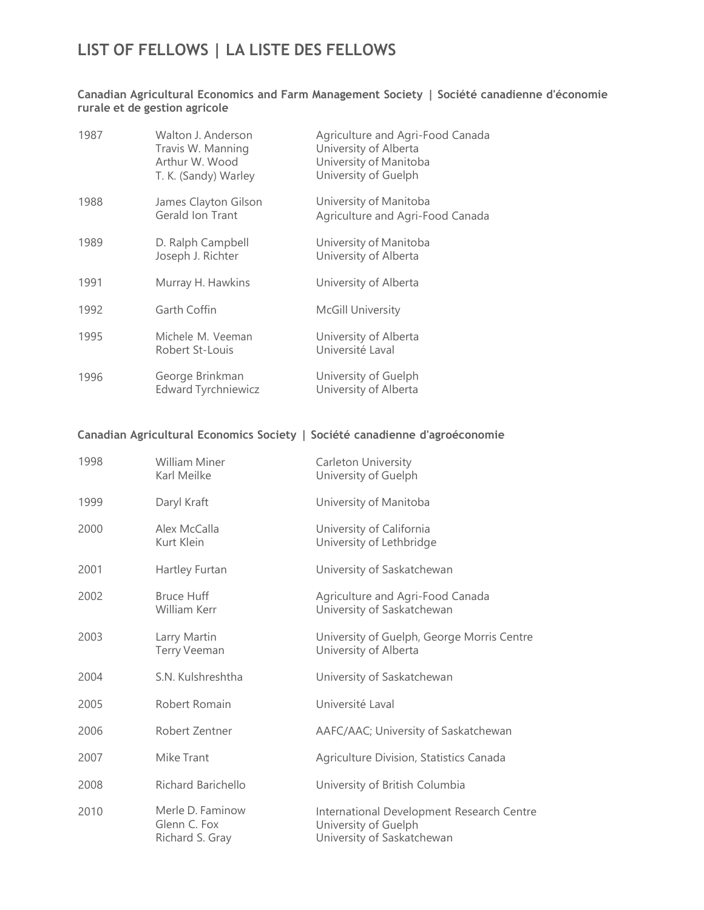## LIST OF FELLOWS | LA LISTE DES FELLOWS

## Canadian Agricultural Economics and Farm Management Society | Société canadienne d'économie rurale et de gestion agricole

| 1987 | Walton J. Anderson<br>Travis W. Manning<br>Arthur W. Wood<br>T. K. (Sandy) Warley | Agriculture and Agri-Food Canada<br>University of Alberta<br>University of Manitoba<br>University of Guelph |
|------|-----------------------------------------------------------------------------------|-------------------------------------------------------------------------------------------------------------|
| 1988 | James Clayton Gilson<br>Gerald Ion Trant                                          | University of Manitoba<br>Agriculture and Agri-Food Canada                                                  |
| 1989 | D. Ralph Campbell<br>Joseph J. Richter                                            | University of Manitoba<br>University of Alberta                                                             |
| 1991 | Murray H. Hawkins                                                                 | University of Alberta                                                                                       |
| 1992 | Garth Coffin                                                                      | <b>McGill University</b>                                                                                    |
| 1995 | Michele M. Veeman<br>Robert St-Louis                                              | University of Alberta<br>Université Laval                                                                   |
| 1996 | George Brinkman<br><b>Edward Tyrchniewicz</b>                                     | University of Guelph<br>University of Alberta                                                               |

## Canadian Agricultural Economics Society | Société canadienne d'agroéconomie

| 1998 | <b>William Miner</b><br>Karl Meilke                 | Carleton University<br>University of Guelph                                                     |
|------|-----------------------------------------------------|-------------------------------------------------------------------------------------------------|
| 1999 | Daryl Kraft                                         | University of Manitoba                                                                          |
| 2000 | Alex McCalla<br>Kurt Klein                          | University of California<br>University of Lethbridge                                            |
| 2001 | Hartley Furtan                                      | University of Saskatchewan                                                                      |
| 2002 | <b>Bruce Huff</b><br>William Kerr                   | Agriculture and Agri-Food Canada<br>University of Saskatchewan                                  |
| 2003 | Larry Martin<br><b>Terry Veeman</b>                 | University of Guelph, George Morris Centre<br>University of Alberta                             |
| 2004 | S.N. Kulshreshtha                                   | University of Saskatchewan                                                                      |
| 2005 | Robert Romain                                       | Université Laval                                                                                |
| 2006 | Robert Zentner                                      | AAFC/AAC; University of Saskatchewan                                                            |
| 2007 | Mike Trant                                          | Agriculture Division, Statistics Canada                                                         |
| 2008 | <b>Richard Barichello</b>                           | University of British Columbia                                                                  |
| 2010 | Merle D. Faminow<br>Glenn C. Fox<br>Richard S. Gray | International Development Research Centre<br>University of Guelph<br>University of Saskatchewan |